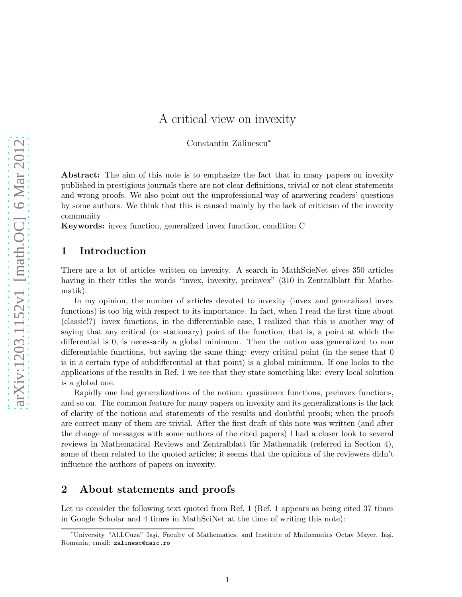# A critical view on invexity

Constantin Zălinescu<sup>∗</sup>

Abstract: The aim of this note is to emphasize the fact that in many papers on invexity published in prestigious journals there are not clear definitions, trivial or not clear statements and wrong proofs. We also point out the unprofessional way of answering readers' questions by some authors. We think that this is caused mainly by the lack of criticism of the invexity community

Keywords: invex function, generalized invex function, condition C

#### 1 Introduction

There are a lot of articles written on invexity. A search in MathScieNet gives 350 articles having in their titles the words "invex, invexity, preinvex" (310 in Zentralblatt für Mathematik).

In my opinion, the number of articles devoted to invexity (invex and generalized invex functions) is too big with respect to its importance. In fact, when I read the first time about (classic!?) invex functions, in the differentiable case, I realized that this is another way of saying that any critical (or stationary) point of the function, that is, a point at which the differential is 0, is necessarily a global minimum. Then the notion was generalized to non differentiable functions, but saying the same thing: every critical point (in the sense that 0 is in a certain type of subdifferential at that point) is a global minimum. If one looks to the applications of the results in Ref. 1 we see that they state something like: every local solution is a global one.

Rapidly one had generalizations of the notion: quasiinvex functions, preinvex functions, and so on. The common feature for many papers on invexity and its generalizations is the lack of clarity of the notions and statements of the results and doubtful proofs; when the proofs are correct many of them are trivial. After the first draft of this note was written (and after the change of messages with some authors of the cited papers) I had a closer look to several reviews in Mathematical Reviews and Zentralblatt für Mathematik (referred in Section 4), some of them related to the quoted articles; it seems that the opinions of the reviewers didn't influence the authors of papers on invexity.

### 2 About statements and proofs

Let us consider the following text quoted from Ref. 1 (Ref. 1 appears as being cited 37 times in Google Scholar and 4 times in MathSciNet at the time of writing this note):

<sup>∗</sup>University "Al.I.Cuza" Ia¸si, Faculty of Mathematics, and Institute of Mathematics Octav Mayer, Ia¸si, Romania; email: zalinesc@uaic.ro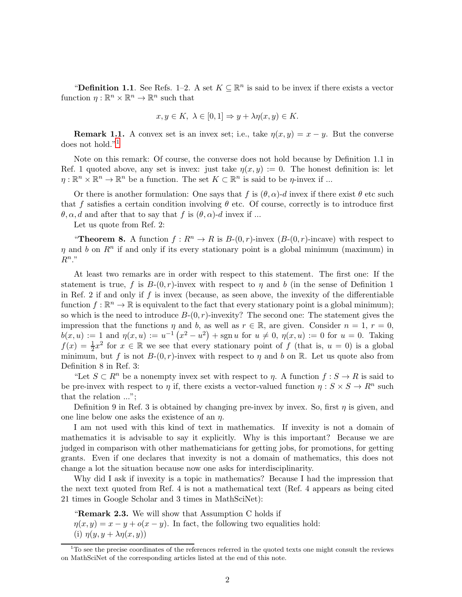"Definition 1.1. See Refs. 1–2. A set  $K \subseteq \mathbb{R}^n$  is said to be invex if there exists a vector function  $\eta: \mathbb{R}^n \times \mathbb{R}^n \to \mathbb{R}^n$  such that

$$
x, y \in K, \ \lambda \in [0, 1] \Rightarrow y + \lambda \eta(x, y) \in K.
$$

**Remark 1.1.** A convex set is an invex set; i.e., take  $\eta(x, y) = x - y$ . But the converse does not hold."[1](#page-1-0)

Note on this remark: Of course, the converse does not hold because by Definition 1.1 in Ref. 1 quoted above, any set is invex: just take  $\eta(x, y) := 0$ . The honest definition is: let  $\eta: \mathbb{R}^n \times \mathbb{R}^n \to \mathbb{R}^n$  be a function. The set  $K \subset \mathbb{R}^n$  is said to be  $\eta$ -invex if ...

Or there is another formulation: One says that f is  $(\theta, \alpha)$ -d invex if there exist  $\theta$  etc such that f satisfies a certain condition involving  $\theta$  etc. Of course, correctly is to introduce first  $\theta, \alpha, d$  and after that to say that f is  $(\theta, \alpha)$ -d invex if ...

Let us quote from Ref. 2:

"Theorem 8. A function  $f: \mathbb{R}^n \to \mathbb{R}$  is  $B_-(0,r)$ -invex  $(B_-(0,r)$ -incave) with respect to  $\eta$  and b on  $\mathbb{R}^n$  if and only if its every stationary point is a global minimum (maximum) in  $R^n$ ."

At least two remarks are in order with respect to this statement. The first one: If the statement is true, f is  $B-(0, r)$ -invex with respect to  $\eta$  and b (in the sense of Definition 1 in Ref. 2 if and only if  $f$  is invex (because, as seen above, the invexity of the differentiable function  $f: \mathbb{R}^n \to \mathbb{R}$  is equivalent to the fact that every stationary point is a global minimum); so which is the need to introduce  $B-(0, r)$ -invexity? The second one: The statement gives the impression that the functions  $\eta$  and b, as well as  $r \in \mathbb{R}$ , are given. Consider  $n = 1$ ,  $r = 0$ ,  $b(x, u) := 1$  and  $\eta(x, u) := u^{-1}(x^2 - u^2) + \text{sgn } u$  for  $u \neq 0, \eta(x, u) := 0$  for  $u = 0$ . Taking  $f(x) = \frac{1}{2}x^2$  for  $x \in \mathbb{R}$  we see that every stationary point of f (that is,  $u = 0$ ) is a global minimum, but f is not  $B-(0,r)$ -invex with respect to  $\eta$  and b on R. Let us quote also from Definition 8 in Ref. 3:

"Let  $S \subset \mathbb{R}^n$  be a nonempty invex set with respect to  $\eta$ . A function  $f : S \to \mathbb{R}$  is said to be pre-invex with respect to  $\eta$  if, there exists a vector-valued function  $\eta: S \times S \to R^n$  such that the relation ...";

Definition 9 in Ref. 3 is obtained by changing pre-invex by invex. So, first  $\eta$  is given, and one line below one asks the existence of an  $\eta$ .

I am not used with this kind of text in mathematics. If invexity is not a domain of mathematics it is advisable to say it explicitly. Why is this important? Because we are judged in comparison with other mathematicians for getting jobs, for promotions, for getting grants. Even if one declares that invexity is not a domain of mathematics, this does not change a lot the situation because now one asks for interdisciplinarity.

Why did I ask if invexity is a topic in mathematics? Because I had the impression that the next text quoted from Ref. 4 is not a mathematical text (Ref. 4 appears as being cited 21 times in Google Scholar and 3 times in MathSciNet):

"Remark 2.3. We will show that Assumption C holds if  $\eta(x, y) = x - y + o(x - y)$ . In fact, the following two equalities hold: (i)  $\eta(y, y + \lambda \eta(x, y))$ 

<span id="page-1-0"></span> $1<sup>1</sup>$  To see the precise coordinates of the references referred in the quoted texts one might consult the reviews on MathSciNet of the corresponding articles listed at the end of this note.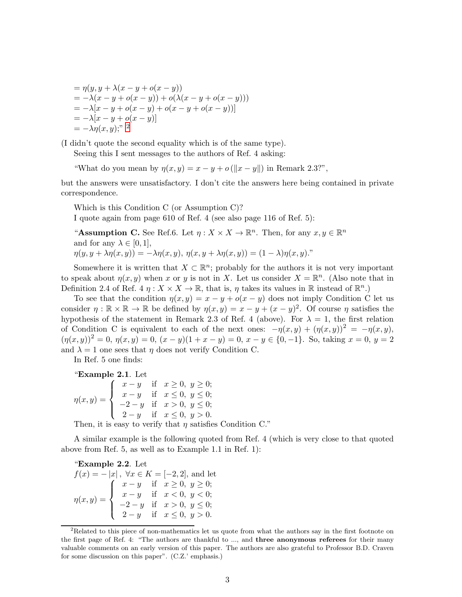$$
= \eta(y, y + \lambda(x - y + o(x - y))
$$
  
= -\lambda(x - y + o(x - y)) + o(\lambda(x - y + o(x - y)))  
= -\lambda[x - y + o(x - y) + o(x - y + o(x - y))]  
= -\lambda[x - y + o(x - y)]  
= -\lambda\eta(x, y);<sup>n</sup> 2

(I didn't quote the second equality which is of the same type).

Seeing this I sent messages to the authors of Ref. 4 asking:

"What do you mean by  $\eta(x, y) = x - y + o(||x - y||)$  in Remark 2.3?",

but the answers were unsatisfactory. I don't cite the answers here being contained in private correspondence.

Which is this Condition C (or Assumption C)? I quote again from page 610 of Ref. 4 (see also page 116 of Ref. 5):

"Assumption C. See Ref.6. Let  $\eta: X \times X \to \mathbb{R}^n$ . Then, for any  $x, y \in \mathbb{R}^n$ and for any  $\lambda \in [0, 1]$ ,  $\eta(y, y + \lambda \eta(x, y)) = -\lambda \eta(x, y), \eta(x, y + \lambda \eta(x, y)) = (1 - \lambda) \eta(x, y).$ 

Somewhere it is written that  $X \subset \mathbb{R}^n$ ; probably for the authors it is not very important to speak about  $\eta(x, y)$  when x or y is not in X. Let us consider  $X = \mathbb{R}^n$ . (Also note that in Definition 2.4 of Ref. 4  $\eta: X \times X \to \mathbb{R}$ , that is,  $\eta$  takes its values in  $\mathbb{R}$  instead of  $\mathbb{R}^n$ .)

To see that the condition  $\eta(x, y) = x - y + o(x - y)$  does not imply Condition C let us consider  $\eta : \mathbb{R} \times \mathbb{R} \to \mathbb{R}$  be defined by  $\eta(x, y) = x - y + (x - y)^2$ . Of course  $\eta$  satisfies the hypothesis of the statement in Remark 2.3 of Ref. 4 (above). For  $\lambda = 1$ , the first relation of Condition C is equivalent to each of the next ones:  $-\eta(x, y) + (\eta(x, y))^2 = -\eta(x, y)$ ,  $(\eta(x,y))^2 = 0, \eta(x,y) = 0, (x - y)(1 + x - y) = 0, x - y \in \{0, -1\}.$  So, taking  $x = 0, y = 2$ and  $\lambda = 1$  one sees that  $\eta$  does not verify Condition C.

In Ref. 5 one finds:

"Example 2.1. Let

$$
\eta(x,y) = \begin{cases}\n x - y & \text{if } x \ge 0, y \ge 0; \\
 x - y & \text{if } x \le 0, y \le 0; \\
 -2 - y & \text{if } x > 0, y \le 0; \\
 2 - y & \text{if } x \le 0, y > 0.\n\end{cases}
$$

Then, it is easy to verify that  $\eta$  satisfies Condition C."

A similar example is the following quoted from Ref. 4 (which is very close to that quoted above from Ref. 5, as well as to Example 1.1 in Ref. 1):

"Example 2.2. Let

 $f(x) = -|x|, \forall x \in K = [-2, 2],$  and let  $\eta(x,y) =$  $\sqrt{ }$  $\int$  $\overline{\mathcal{L}}$  $x - y$  if  $x \ge 0, y \ge 0;$  $x - y$  if  $x < 0, y < 0;$  $-2 - y$  if  $x > 0, y \le 0;$ 2 - y if  $x \le 0, y > 0$ .

<span id="page-2-0"></span><sup>&</sup>lt;sup>2</sup>Related to this piece of non-mathematics let us quote from what the authors say in the first footnote on the first page of Ref. 4: "The authors are thankful to ..., and **three anonymous referees** for their many valuable comments on an early version of this paper. The authors are also grateful to Professor B.D. Craven for some discussion on this paper". (C.Z.' emphasis.)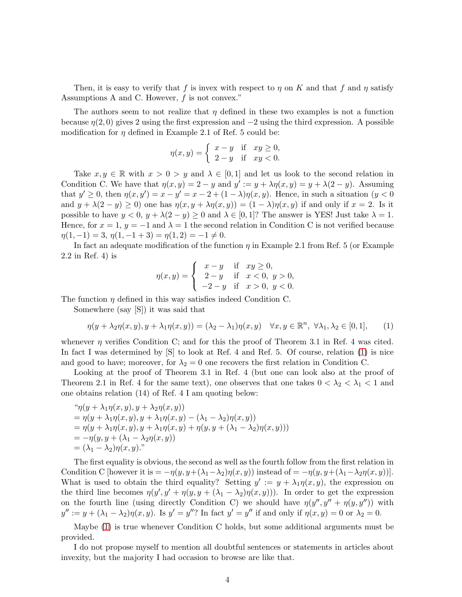Then, it is easy to verify that f is invex with respect to  $\eta$  on K and that f and  $\eta$  satisfy Assumptions A and C. However, f is not convex."

The authors seem to not realize that  $\eta$  defined in these two examples is not a function because  $\eta(2,0)$  gives 2 using the first expression and  $-2$  using the third expression. A possible modification for  $\eta$  defined in Example 2.1 of Ref. 5 could be:

$$
\eta(x,y) = \begin{cases} x - y & \text{if } xy \ge 0, \\ 2 - y & \text{if } xy < 0. \end{cases}
$$

Take  $x, y \in \mathbb{R}$  with  $x > 0 > y$  and  $\lambda \in [0, 1]$  and let us look to the second relation in Condition C. We have that  $\eta(x, y) = 2 - y$  and  $y' := y + \lambda \eta(x, y) = y + \lambda(2 - y)$ . Assuming that  $y' \geq 0$ , then  $\eta(x, y') = x - y' = x - 2 + (1 - \lambda)\eta(x, y)$ . Hence, in such a situation  $(y < 0)$ and  $y + \lambda(2 - y) \ge 0$  one has  $\eta(x, y + \lambda \eta(x, y)) = (1 - \lambda)\eta(x, y)$  if and only if  $x = 2$ . Is it possible to have  $y < 0$ ,  $y + \lambda(2 - y) \ge 0$  and  $\lambda \in [0, 1]$ ? The answer is YES! Just take  $\lambda = 1$ . Hence, for  $x = 1$ ,  $y = -1$  and  $\lambda = 1$  the second relation in Condition C is not verified because  $\eta(1,-1) = 3, \eta(1,-1+3) = \eta(1,2) = -1 \neq 0.$ 

In fact an adequate modification of the function  $\eta$  in Example 2.1 from Ref. 5 (or Example 2.2 in Ref. 4) is

$$
\eta(x,y) = \begin{cases}\n x - y & \text{if } xy \ge 0, \\
 2 - y & \text{if } x < 0, y > 0, \\
 -2 - y & \text{if } x > 0, y < 0.\n\end{cases}
$$

The function  $\eta$  defined in this way satisfies indeed Condition C.

Somewhere (say [S]) it was said that

<span id="page-3-0"></span>
$$
\eta(y + \lambda_2 \eta(x, y), y + \lambda_1 \eta(x, y)) = (\lambda_2 - \lambda_1)\eta(x, y) \quad \forall x, y \in \mathbb{R}^n, \ \forall \lambda_1, \lambda_2 \in [0, 1], \qquad (1)
$$

whenever  $\eta$  verifies Condition C; and for this the proof of Theorem 3.1 in Ref. 4 was cited. In fact I was determined by [S] to look at Ref. 4 and Ref. 5. Of course, relation [\(1\)](#page-3-0) is nice and good to have; moreover, for  $\lambda_2 = 0$  one recovers the first relation in Condition C.

Looking at the proof of Theorem 3.1 in Ref. 4 (but one can look also at the proof of Theorem 2.1 in Ref. 4 for the same text), one observes that one takes  $0 < \lambda_2 < \lambda_1 < 1$  and one obtains relation (14) of Ref. 4 I am quoting below:

$$
\begin{aligned}\n\H\cdot \eta(y + \lambda_1 \eta(x, y), y + \lambda_2 \eta(x, y)) \\
&= \eta(y + \lambda_1 \eta(x, y), y + \lambda_1 \eta(x, y) - (\lambda_1 - \lambda_2) \eta(x, y)) \\
&= \eta(y + \lambda_1 \eta(x, y), y + \lambda_1 \eta(x, y) + \eta(y, y + (\lambda_1 - \lambda_2) \eta(x, y))) \\
&= -\eta(y, y + (\lambda_1 - \lambda_2 \eta(x, y))) \\
&= (\lambda_1 - \lambda_2) \eta(x, y).\n\end{aligned}
$$

The first equality is obvious, the second as well as the fourth follow from the first relation in Condition C [however it is  $= -\eta(y, y+(\lambda_1-\lambda_2)\eta(x, y))$  instead of  $= -\eta(y, y+(\lambda_1-\lambda_2\eta(x, y))$ ]. What is used to obtain the third equality? Setting  $y' := y + \lambda_1 \eta(x, y)$ , the expression on the third line becomes  $\eta(y', y' + \eta(y, y + (\lambda_1 - \lambda_2)\overline{\eta}(x, y)))$ . In order to get the expression on the fourth line (using directly Condition C) we should have  $\eta(y'', y'' + \eta(y, y''))$  with  $y'':=y+(\lambda_1-\lambda_2)\eta(x,y)$ . Is  $y'=y''$ ? In fact  $y'=y''$  if and only if  $\eta(x,y)=0$  or  $\lambda_2=0$ .

Maybe [\(1\)](#page-3-0) is true whenever Condition C holds, but some additional arguments must be provided.

I do not propose myself to mention all doubtful sentences or statements in articles about invexity, but the majority I had occasion to browse are like that.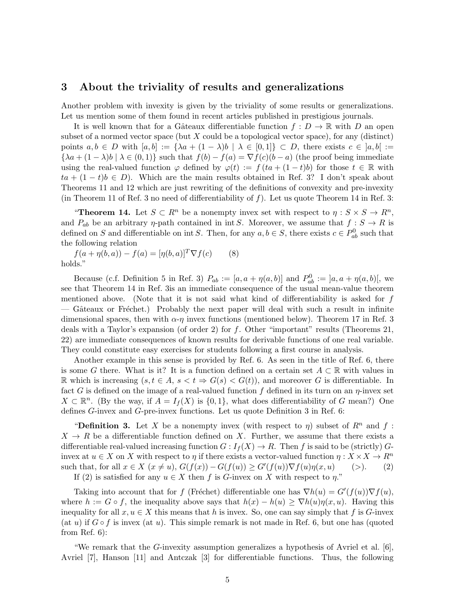#### 3 About the triviality of results and generalizations

Another problem with invexity is given by the triviality of some results or generalizations. Let us mention some of them found in recent articles published in prestigious journals.

It is well known that for a Gâteaux differentiable function  $f: D \to \mathbb{R}$  with D an open subset of a normed vector space (but  $X$  could be a topological vector space), for any (distinct) points  $a, b \in D$  with  $[a, b] := {\lambda a + (1 - \lambda)b \mid \lambda \in [0, 1]} \subset D$ , there exists  $c \in [a, b] :=$  ${\lambda a + (1 - \lambda)b \mid \lambda \in (0,1)}$  such that  $f(b) - f(a) = \nabla f(c)(b - a)$  (the proof being immediate using the real-valued function  $\varphi$  defined by  $\varphi(t) := f (ta + (1-t)b)$  for those  $t \in \mathbb{R}$  with  $ta + (1 - t)b \in D$ . Which are the main results obtained in Ref. 3? I don't speak about Theorems 11 and 12 which are just rewriting of the definitions of convexity and pre-invexity (in Theorem 11 of Ref. 3 no need of differentiability of  $f$ ). Let us quote Theorem 14 in Ref. 3:

"Theorem 14. Let  $S \subset R^n$  be a nonempty invex set with respect to  $\eta : S \times S \to R^n$ , and  $P_{ab}$  be an arbitrary  $\eta$ -path contained in int S. Moreover, we assume that  $f : S \to R$  is defined on S and differentiable on int S. Then, for any  $a, b \in S$ , there exists  $c \in P_{ab}^0$  such that the following relation

 $f(a + \eta(b, a)) - f(a) = [\eta(b, a)]^T \nabla f(c)$  (8) holds."

Because (c.f. Definition 5 in Ref. 3)  $P_{ab} := [a, a + \eta(a, b)]$  and  $P_{ab}^0 := [a, a + \eta(a, b)]$ , we see that Theorem 14 in Ref. 3is an immediate consequence of the usual mean-value theorem mentioned above. (Note that it is not said what kind of differentiability is asked for f — Gâteaux or Fréchet.) Probably the next paper will deal with such a result in infinite dimensional spaces, then with  $\alpha$ -η invex functions (mentioned below). Theorem 17 in Ref. 3 deals with a Taylor's expansion (of order 2) for f. Other "important" results (Theorems 21, 22) are immediate consequences of known results for derivable functions of one real variable. They could constitute easy exercises for students following a first course in analysis.

Another example in this sense is provided by Ref. 6. As seen in the title of Ref. 6, there is some G there. What is it? It is a function defined on a certain set  $A \subset \mathbb{R}$  with values in R which is increasing  $(s, t \in A, s < t \Rightarrow G(s) < G(t)$ , and moreover G is differentiable. In fact G is defined on the image of a real-valued function f defined in its turn on an  $\eta$ -invex set  $X \subset \mathbb{R}^n$ . (By the way, if  $A = I_f(X)$  is  $\{0,1\}$ , what does differentiability of G mean?) One defines G-invex and G-pre-invex functions. Let us quote Definition 3 in Ref. 6:

**"Definition 3.** Let X be a nonempty invex (with respect to  $\eta$ ) subset of  $R^n$  and f:  $X \to R$  be a differentiable function defined on X. Further, we assume that there exists a differentiable real-valued increasing function  $G: I_f(X) \to R$ . Then f is said to be (strictly) Ginvex at  $u \in X$  on X with respect to  $\eta$  if there exists a vector-valued function  $\eta: X \times X \to \mathbb{R}^n$ such that, for all  $x \in X$   $(x \neq u)$ ,  $G(f(x)) - G(f(u)) \geq G'(f(u)) \nabla f(u) \eta(x, u)$  (>). (2) If (2) is satisfied for any  $u \in X$  then f is G-invex on X with respect to  $\eta$ ."

Taking into account that for f (Fréchet) differentiable one has  $\nabla h(u) = G'(f(u)) \nabla f(u)$ , where  $h := G \circ f$ , the inequality above says that  $h(x) - h(u) \geq \nabla h(u)\eta(x, u)$ . Having this inequality for all  $x, u \in X$  this means that h is invex. So, one can say simply that f is G-invex (at u) if  $G \circ f$  is invex (at u). This simple remark is not made in Ref. 6, but one has (quoted from Ref. 6):

"We remark that the G-invexity assumption generalizes a hypothesis of Avriel et al.  $[6]$ , Avriel [7], Hanson [11] and Antczak [3] for differentiable functions. Thus, the following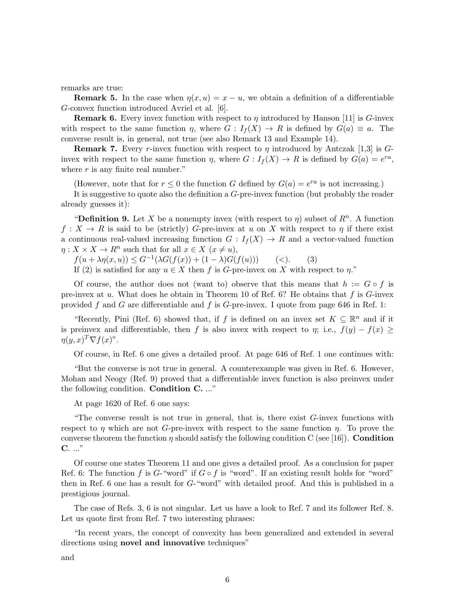remarks are true:

**Remark 5.** In the case when  $\eta(x, u) = x - u$ , we obtain a definition of a differentiable G-convex function introduced Avriel et al. [6].

**Remark 6.** Every invex function with respect to  $\eta$  introduced by Hanson [11] is G-invex with respect to the same function  $\eta$ , where  $G: I_f(X) \to R$  is defined by  $G(a) \equiv a$ . The converse result is, in general, not true (see also Remark 13 and Example 14).

**Remark 7.** Every r-invex function with respect to  $\eta$  introduced by Antczak [1,3] is Ginvex with respect to the same function  $\eta$ , where  $G: I_f(X) \to R$  is defined by  $G(a) = e^{ra}$ , where  $r$  is any finite real number."

(However, note that for  $r \leq 0$  the function G defined by  $G(a) = e^{ra}$  is not increasing.)

It is suggestive to quote also the definition a G-pre-invex function (but probably the reader already guesses it):

"Definition 9. Let X be a nonempty invex (with respect to  $\eta$ ) subset of  $R^n$ . A function  $f: X \to R$  is said to be (strictly) G-pre-invex at u on X with respect to  $\eta$  if there exist a continuous real-valued increasing function  $G: I_f(X) \to R$  and a vector-valued function  $\eta: X \times X \to R^n$  such that for all  $x \in X$   $(x \neq u)$ ,

 $f(u + \lambda \eta(x, u)) \leq G^{-1}(\lambda G(f(x)) + (1 - \lambda)G(f(u)))$  (<). (3)

If (2) is satisfied for any  $u \in X$  then f is G-pre-invex on X with respect to  $\eta$ ."

Of course, the author does not (want to) observe that this means that  $h := G \circ f$  is pre-invex at u. What does he obtain in Theorem 10 of Ref. 6? He obtains that  $f$  is  $G$ -invex provided f and G are differentiable and f is G-pre-invex. I quote from page 646 in Ref. 1:

"Recently, Pini (Ref. 6) showed that, if f is defined on an invex set  $K \subseteq \mathbb{R}^n$  and if it is preinvex and differentiable, then f is also invex with respect to  $\eta$ ; i.e.,  $f(y) - f(x) \ge$  $\eta(y,x)^T \nabla f(x)^{\nu}.$ 

Of course, in Ref. 6 one gives a detailed proof. At page 646 of Ref. 1 one continues with:

"But the converse is not true in general. A counterexample was given in Ref. 6. However, Mohan and Neogy (Ref. 9) proved that a differentiable invex function is also preinvex under the following condition. Condition C. ..."

At page 1620 of Ref. 6 one says:

"The converse result is not true in general, that is, there exist  $G$ -invex functions with respect to  $\eta$  which are not G-pre-invex with respect to the same function  $\eta$ . To prove the converse theorem the function  $\eta$  should satisfy the following condition C (see [16]). **Condition** C. ..."

Of course one states Theorem 11 and one gives a detailed proof. As a conclusion for paper Ref. 6: The function f is G-"word" if  $G \circ f$  is "word". If an existing result holds for "word" then in Ref. 6 one has a result for  $G$ -"word" with detailed proof. And this is published in a prestigious journal.

The case of Refs. 3, 6 is not singular. Let us have a look to Ref. 7 and its follower Ref. 8. Let us quote first from Ref. 7 two interesting phrases:

"In recent years, the concept of convexity has been generalized and extended in several directions using **novel and innovative** techniques"

and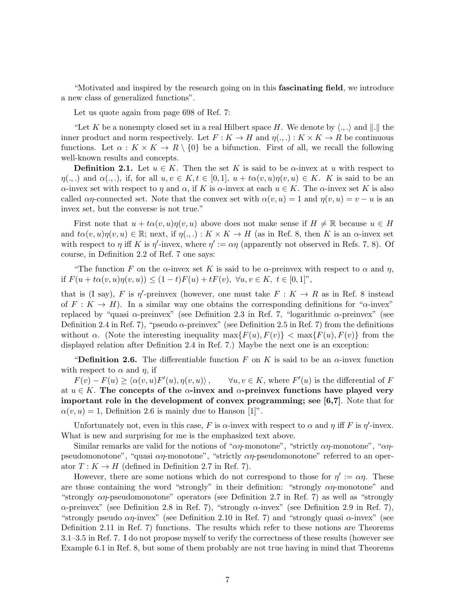"Motivated and inspired by the research going on in this fascinating field, we introduce a new class of generalized functions".

Let us quote again from page 698 of Ref. 7:

"Let K be a nonempty closed set in a real Hilbert space H. We denote by  $\langle ., . \rangle$  and  $\| . \|$  the inner product and norm respectively. Let  $F: K \to H$  and  $\eta(.,.) : K \times K \to R$  be continuous functions. Let  $\alpha: K \times K \to R \setminus \{0\}$  be a bifunction. First of all, we recall the following well-known results and concepts.

**Definition 2.1.** Let  $u \in K$ . Then the set K is said to be  $\alpha$ -invex at u with respect to  $\eta(.,.)$  and  $\alpha(.,.),$  if, for all  $u, v \in K$ ,  $t \in [0,1], u + t\alpha(v, u)\eta(v, u) \in K$ . K is said to be an α-invex set with respect to η and α, if K is α-invex at each  $u \in K$ . The α-invex set K is also called  $\alpha\eta$ -connected set. Note that the convex set with  $\alpha(v, u) = 1$  and  $\eta(v, u) = v - u$  is an invex set, but the converse is not true."

First note that  $u + t\alpha(v, u)\eta(v, u)$  above does not make sense if  $H \neq \mathbb{R}$  because  $u \in H$ and  $t\alpha(v, u)\eta(v, u) \in \mathbb{R}$ ; next, if  $\eta(., .): K \times K \to H$  (as in Ref. 8, then K is an  $\alpha$ -invex set with respect to  $\eta$  iff K is  $\eta'$ -invex, where  $\eta' := \alpha \eta$  (apparently not observed in Refs. 7, 8). Of course, in Definition 2.2 of Ref. 7 one says:

"The function F on the  $\alpha$ -invex set K is said to be  $\alpha$ -preinvex with respect to  $\alpha$  and  $\eta$ , if  $F(u + t\alpha(v, u)\eta(v, u)) \leq (1 - t)F(u) + tF(v), \ \forall u, v \in K, \ t \in [0, 1]^n$ ,

that is (I say), F is  $\eta'$ -preinvex (however, one must take  $F: K \to R$  as in Ref. 8 instead of  $F: K \to H$ ). In a similar way one obtains the corresponding definitions for " $\alpha$ -invex" replaced by "quasi α-preinvex" (see Definition 2.3 in Ref. 7, "logarithmic α-preinvex" (see Definition 2.4 in Ref. 7), "pseudo  $\alpha$ -preinvex" (see Definition 2.5 in Ref. 7) from the definitions without  $\alpha$ . (Note the interesting inequality  $\max\{F(u), F(v)\}$  <  $\max\{F(u), F(v)\}$  from the displayed relation after Definition 2.4 in Ref. 7.) Maybe the next one is an exception:

"Definition 2.6. The differentiable function F on K is said to be an  $\alpha$ -invex function with respect to  $\alpha$  and  $\eta$ , if

 $F(v) - F(u) \geq \langle \alpha(v, u) F' \rangle$  $(u), \eta(v, u)\rangle$ ,  $\forall u, v \in K$ , where  $F'(u)$  is the differential of F at  $u \in K$ . The concepts of the  $\alpha$ -invex and  $\alpha$ -preinvex functions have played very important role in the development of convex programming; see [6,7]. Note that for  $\alpha(v, u) = 1$ , Definition 2.6 is mainly due to Hanson [1]".

Unfortunately not, even in this case, F is  $\alpha$ -invex with respect to  $\alpha$  and  $\eta$  iff F is  $\eta'$ -invex. What is new and surprising for me is the emphasized text above.

Similar remarks are valid for the notions of " $\alpha\eta$ -monotone", "strictly  $\alpha\eta$ -monotone", " $\alpha\eta$ pseudomonotone", "quasi  $\alpha\eta$ -monotone", "strictly  $\alpha\eta$ -pseudomonotone" referred to an operator  $T: K \to H$  (defined in Definition 2.7 in Ref. 7).

However, there are some notions which do not correspond to those for  $\eta' := \alpha \eta$ . These are those containing the word "strongly" in their definition: "strongly  $\alpha\eta$ -monotone" and "strongly  $\alpha\eta$ -pseudomonotone" operators (see Definition 2.7 in Ref. 7) as well as "strongly  $\alpha$ -preinvex" (see Definition 2.8 in Ref. 7), "strongly  $\alpha$ -invex" (see Definition 2.9 in Ref. 7), "strongly pseudo  $\alpha\eta$ -invex" (see Definition 2.10 in Ref. 7) and "strongly quasi  $\alpha$ -invex" (see Definition 2.11 in Ref. 7) functions. The results which refer to these notions are Theorems 3.1–3.5 in Ref. 7. I do not propose myself to verify the correctness of these results (however see Example 6.1 in Ref. 8, but some of them probably are not true having in mind that Theorems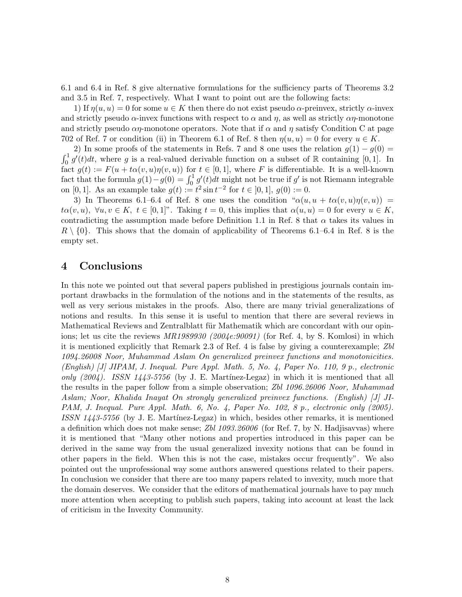6.1 and 6.4 in Ref. 8 give alternative formulations for the sufficiency parts of Theorems 3.2 and 3.5 in Ref. 7, respectively. What I want to point out are the following facts:

1) If  $\eta(u, u) = 0$  for some  $u \in K$  then there do not exist pseudo  $\alpha$ -preinvex, strictly  $\alpha$ -invex and strictly pseudo  $\alpha$ -invex functions with respect to  $\alpha$  and  $\eta$ , as well as strictly  $\alpha\eta$ -monotone and strictly pseudo  $\alpha\eta$ -monotone operators. Note that if  $\alpha$  and  $\eta$  satisfy Condition C at page 702 of Ref. 7 or condition (ii) in Theorem 6.1 of Ref. 8 then  $\eta(u, u) = 0$  for every  $u \in K$ .

2) In some proofs of the statements in Refs. 7 and 8 one uses the relation  $g(1) - g(0) =$  $\int_0^1 g'(t)dt$ , where g is a real-valued derivable function on a subset of R containing [0,1]. In fact  $g(t) := F(u + t\alpha(v, u)\eta(v, u))$  for  $t \in [0, 1]$ , where F is differentiable. It is a well-known fact that the formula  $g(1) - g(0) = \int_0^1 g'(t) dt$  might not be true if g' is not Riemann integrable on [0, 1]. As an example take  $g(t) := t^2 \sin t^{-2}$  for  $t \in [0, 1], g(0) := 0$ .

3) In Theorems 6.1–6.4 of Ref. 8 one uses the condition " $\alpha(u, u + t\alpha(v, u)\eta(v, u))$  =  $t\alpha(v, u), \ \forall u, v \in K, \ t \in [0, 1]^n$ . Taking  $t = 0$ , this implies that  $\alpha(u, u) = 0$  for every  $u \in K$ , contradicting the assumption made before Definition 1.1 in Ref. 8 that  $\alpha$  takes its values in  $R \setminus \{0\}$ . This shows that the domain of applicability of Theorems 6.1–6.4 in Ref. 8 is the empty set.

### 4 Conclusions

In this note we pointed out that several papers published in prestigious journals contain important drawbacks in the formulation of the notions and in the statements of the results, as well as very serious mistakes in the proofs. Also, there are many trivial generalizations of notions and results. In this sense it is useful to mention that there are several reviews in Mathematical Reviews and Zentralblatt für Mathematik which are concordant with our opinions; let us cite the reviews  $MR1989930$  (2004e:90091) (for Ref. 4, by S. Komlosi) in which it is mentioned explicitly that Remark 2.3 of Ref. 4 is false by giving a counterexample; Zbl 1094.26008 Noor, Muhammad Aslam On generalized preinvex functions and monotonicities. (English) [J] JIPAM, J. Inequal. Pure Appl. Math. 5, No. 4, Paper No. 110, 9 p., electronic only  $(2004)$ . ISSN 1443-5756 (by J. E. Martínez-Legaz) in which it is mentioned that all the results in the paper follow from a simple observation; Zbl 1096.26006 Noor, Muhammad Aslam; Noor, Khalida Inayat On strongly generalized preinvex functions. (English) [J] JI-PAM, J. Inequal. Pure Appl. Math. 6, No. 4, Paper No. 102, 8 p., electronic only (2005). ISSN  $1443-5756$  (by J. E. Martínez-Legaz) in which, besides other remarks, it is mentioned a definition which does not make sense; Zbl 1093.26006 (for Ref. 7, by N. Hadjisavvas) where it is mentioned that "Many other notions and properties introduced in this paper can be derived in the same way from the usual generalized invexity notions that can be found in other papers in the field. When this is not the case, mistakes occur frequently". We also pointed out the unprofessional way some authors answered questions related to their papers. In conclusion we consider that there are too many papers related to invexity, much more that the domain deserves. We consider that the editors of mathematical journals have to pay much more attention when accepting to publish such papers, taking into account at least the lack of criticism in the Invexity Community.